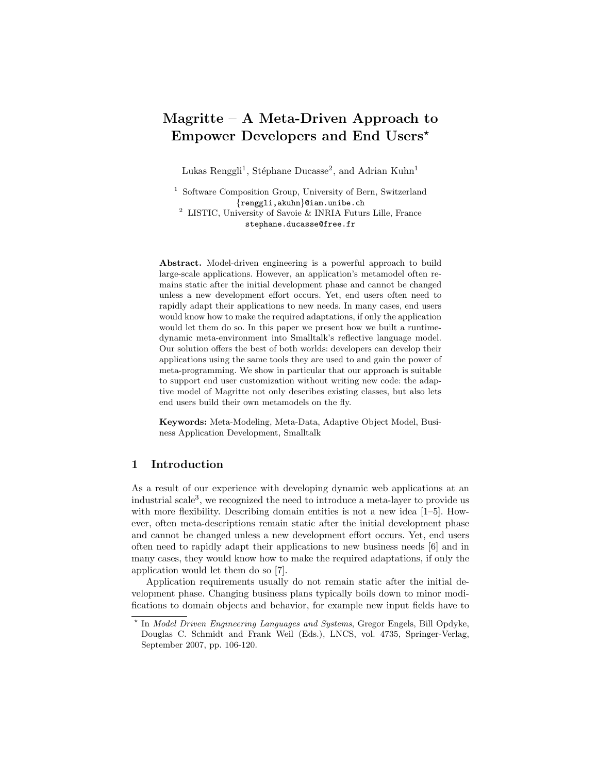# Magritte – A Meta-Driven Approach to Empower Developers and End Users<sup>\*</sup>

Lukas Renggli<sup>1</sup>, Stéphane Ducasse<sup>2</sup>, and Adrian Kuhn<sup>1</sup>

<sup>1</sup> Software Composition Group, University of Bern, Switzerland {renggli,akuhn}@iam.unibe.ch <sup>2</sup> LISTIC, University of Savoie & INRIA Futurs Lille, France stephane.ducasse@free.fr

Abstract. Model-driven engineering is a powerful approach to build large-scale applications. However, an application's metamodel often remains static after the initial development phase and cannot be changed unless a new development effort occurs. Yet, end users often need to rapidly adapt their applications to new needs. In many cases, end users would know how to make the required adaptations, if only the application would let them do so. In this paper we present how we built a runtimedynamic meta-environment into Smalltalk's reflective language model. Our solution offers the best of both worlds: developers can develop their applications using the same tools they are used to and gain the power of meta-programming. We show in particular that our approach is suitable to support end user customization without writing new code: the adaptive model of Magritte not only describes existing classes, but also lets end users build their own metamodels on the fly.

Keywords: Meta-Modeling, Meta-Data, Adaptive Object Model, Business Application Development, Smalltalk

## 1 Introduction

As a result of our experience with developing dynamic web applications at an industrial scale<sup>3</sup> , we recognized the need to introduce a meta-layer to provide us with more flexibility. Describing domain entities is not a new idea [1–5]. However, often meta-descriptions remain static after the initial development phase and cannot be changed unless a new development effort occurs. Yet, end users often need to rapidly adapt their applications to new business needs [6] and in many cases, they would know how to make the required adaptations, if only the application would let them do so [7].

Application requirements usually do not remain static after the initial development phase. Changing business plans typically boils down to minor modifications to domain objects and behavior, for example new input fields have to

<sup>\*</sup> In Model Driven Engineering Languages and Systems, Gregor Engels, Bill Opdyke, Douglas C. Schmidt and Frank Weil (Eds.), LNCS, vol. 4735, Springer-Verlag, September 2007, pp. 106-120.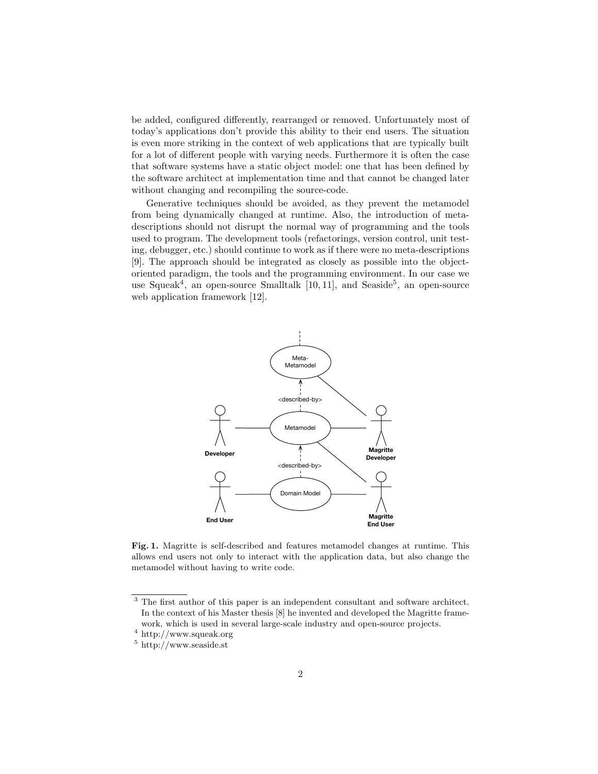be added, configured differently, rearranged or removed. Unfortunately most of today's applications don't provide this ability to their end users. The situation is even more striking in the context of web applications that are typically built for a lot of different people with varying needs. Furthermore it is often the case that software systems have a static object model: one that has been defined by the software architect at implementation time and that cannot be changed later without changing and recompiling the source-code.

Generative techniques should be avoided, as they prevent the metamodel from being dynamically changed at runtime. Also, the introduction of metadescriptions should not disrupt the normal way of programming and the tools used to program. The development tools (refactorings, version control, unit testing, debugger, etc.) should continue to work as if there were no meta-descriptions [9]. The approach should be integrated as closely as possible into the objectoriented paradigm, the tools and the programming environment. In our case we use Squeak<sup>4</sup>, an open-source Smalltalk [10, 11], and Seaside<sup>5</sup>, an open-source web application framework [12].



Fig. 1. Magritte is self-described and features metamodel changes at runtime. This allows end users not only to interact with the application data, but also change the metamodel without having to write code.

<sup>&</sup>lt;sup>3</sup> The first author of this paper is an independent consultant and software architect. In the context of his Master thesis [8] he invented and developed the Magritte framework, which is used in several large-scale industry and open-source projects.

 $4 \frac{\text{m...}}{\text{http://www.squeak.org}}$ 

<sup>5</sup> http://www.seaside.st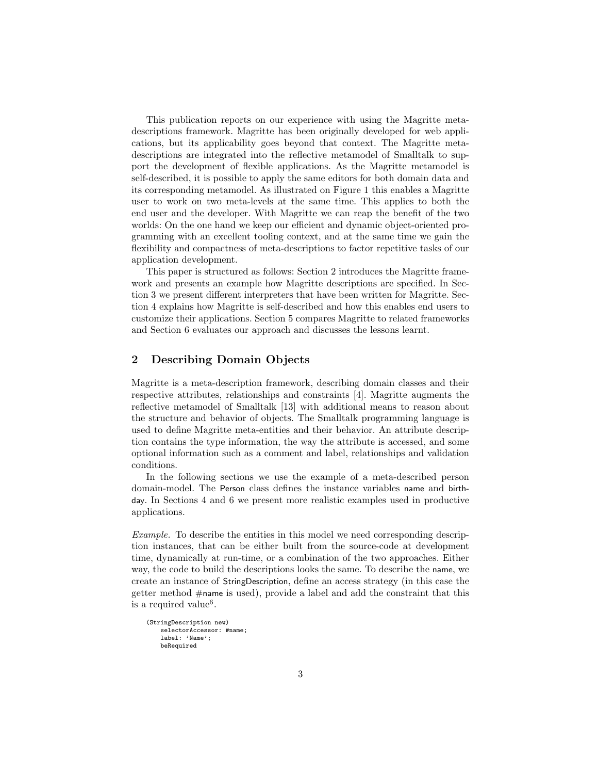This publication reports on our experience with using the Magritte metadescriptions framework. Magritte has been originally developed for web applications, but its applicability goes beyond that context. The Magritte metadescriptions are integrated into the reflective metamodel of Smalltalk to support the development of flexible applications. As the Magritte metamodel is self-described, it is possible to apply the same editors for both domain data and its corresponding metamodel. As illustrated on Figure 1 this enables a Magritte user to work on two meta-levels at the same time. This applies to both the end user and the developer. With Magritte we can reap the benefit of the two worlds: On the one hand we keep our efficient and dynamic object-oriented programming with an excellent tooling context, and at the same time we gain the flexibility and compactness of meta-descriptions to factor repetitive tasks of our application development.

This paper is structured as follows: Section 2 introduces the Magritte framework and presents an example how Magritte descriptions are specified. In Section 3 we present different interpreters that have been written for Magritte. Section 4 explains how Magritte is self-described and how this enables end users to customize their applications. Section 5 compares Magritte to related frameworks and Section 6 evaluates our approach and discusses the lessons learnt.

# 2 Describing Domain Objects

Magritte is a meta-description framework, describing domain classes and their respective attributes, relationships and constraints [4]. Magritte augments the reflective metamodel of Smalltalk [13] with additional means to reason about the structure and behavior of objects. The Smalltalk programming language is used to define Magritte meta-entities and their behavior. An attribute description contains the type information, the way the attribute is accessed, and some optional information such as a comment and label, relationships and validation conditions.

In the following sections we use the example of a meta-described person domain-model. The Person class defines the instance variables name and birthday. In Sections 4 and 6 we present more realistic examples used in productive applications.

Example. To describe the entities in this model we need corresponding description instances, that can be either built from the source-code at development time, dynamically at run-time, or a combination of the two approaches. Either way, the code to build the descriptions looks the same. To describe the name, we create an instance of StringDescription, define an access strategy (in this case the getter method  $\#$ name is used), provide a label and add the constraint that this is a required value<sup>6</sup>.

```
(StringDescription new)
selectorAccessor: #name;
label: 'Name';
beRequired
```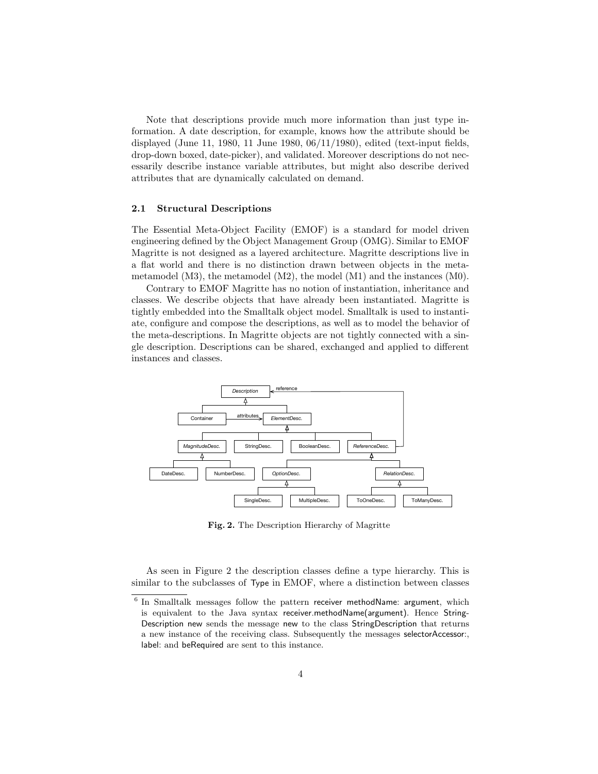Note that descriptions provide much more information than just type information. A date description, for example, knows how the attribute should be displayed (June 11, 1980, 11 June 1980, 06/11/1980), edited (text-input fields, drop-down boxed, date-picker), and validated. Moreover descriptions do not necessarily describe instance variable attributes, but might also describe derived attributes that are dynamically calculated on demand.

#### 2.1 Structural Descriptions

The Essential Meta-Object Facility (EMOF) is a standard for model driven engineering defined by the Object Management Group (OMG). Similar to EMOF Magritte is not designed as a layered architecture. Magritte descriptions live in a flat world and there is no distinction drawn between objects in the metametamodel  $(M3)$ , the metamodel  $(M2)$ , the model  $(M1)$  and the instances  $(M0)$ .

Contrary to EMOF Magritte has no notion of instantiation, inheritance and classes. We describe objects that have already been instantiated. Magritte is tightly embedded into the Smalltalk object model. Smalltalk is used to instantiate, configure and compose the descriptions, as well as to model the behavior of the meta-descriptions. In Magritte objects are not tightly connected with a single description. Descriptions can be shared, exchanged and applied to different instances and classes.



Fig. 2. The Description Hierarchy of Magritte

As seen in Figure 2 the description classes define a type hierarchy. This is similar to the subclasses of Type in EMOF, where a distinction between classes

 $6$  In Smalltalk messages follow the pattern receiver methodName: argument, which is equivalent to the Java syntax receiver.methodName(argument). Hence String-Description new sends the message new to the class StringDescription that returns a new instance of the receiving class. Subsequently the messages selectorAccessor:, label: and beRequired are sent to this instance.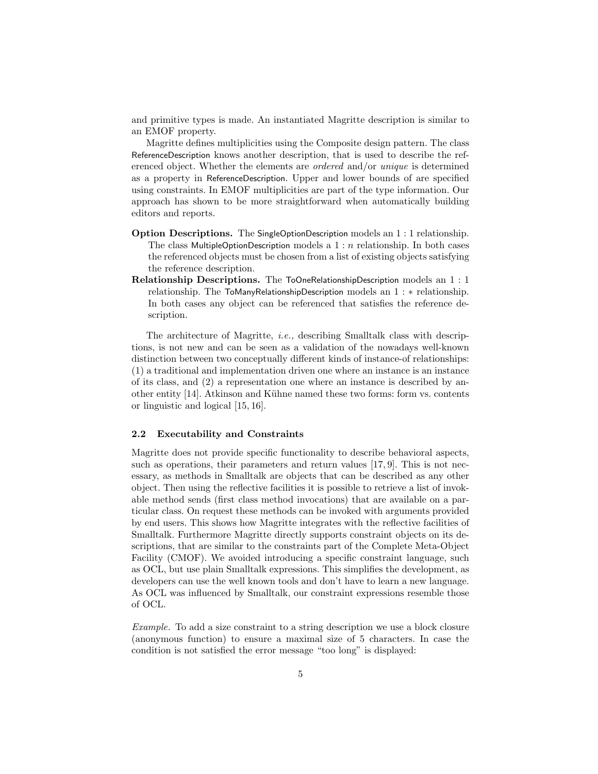and primitive types is made. An instantiated Magritte description is similar to an EMOF property.

Magritte defines multiplicities using the Composite design pattern. The class ReferenceDescription knows another description, that is used to describe the referenced object. Whether the elements are ordered and/or unique is determined as a property in ReferenceDescription. Upper and lower bounds of are specified using constraints. In EMOF multiplicities are part of the type information. Our approach has shown to be more straightforward when automatically building editors and reports.

- Option Descriptions. The SingleOptionDescription models an 1 : 1 relationship. The class MultipleOptionDescription models a  $1:n$  relationship. In both cases the referenced objects must be chosen from a list of existing objects satisfying the reference description.
- Relationship Descriptions. The ToOneRelationshipDescription models an 1 : 1 relationship. The ToManyRelationshipDescription models an 1 : ∗ relationship. In both cases any object can be referenced that satisfies the reference description.

The architecture of Magritte, i.e., describing Smalltalk class with descriptions, is not new and can be seen as a validation of the nowadays well-known distinction between two conceptually different kinds of instance-of relationships: (1) a traditional and implementation driven one where an instance is an instance of its class, and (2) a representation one where an instance is described by another entity [14]. Atkinson and Kühne named these two forms: form vs. contents or linguistic and logical [15, 16].

#### 2.2 Executability and Constraints

Magritte does not provide specific functionality to describe behavioral aspects, such as operations, their parameters and return values [17, 9]. This is not necessary, as methods in Smalltalk are objects that can be described as any other object. Then using the reflective facilities it is possible to retrieve a list of invokable method sends (first class method invocations) that are available on a particular class. On request these methods can be invoked with arguments provided by end users. This shows how Magritte integrates with the reflective facilities of Smalltalk. Furthermore Magritte directly supports constraint objects on its descriptions, that are similar to the constraints part of the Complete Meta-Object Facility (CMOF). We avoided introducing a specific constraint language, such as OCL, but use plain Smalltalk expressions. This simplifies the development, as developers can use the well known tools and don't have to learn a new language. As OCL was influenced by Smalltalk, our constraint expressions resemble those of OCL.

Example. To add a size constraint to a string description we use a block closure (anonymous function) to ensure a maximal size of 5 characters. In case the condition is not satisfied the error message "too long" is displayed: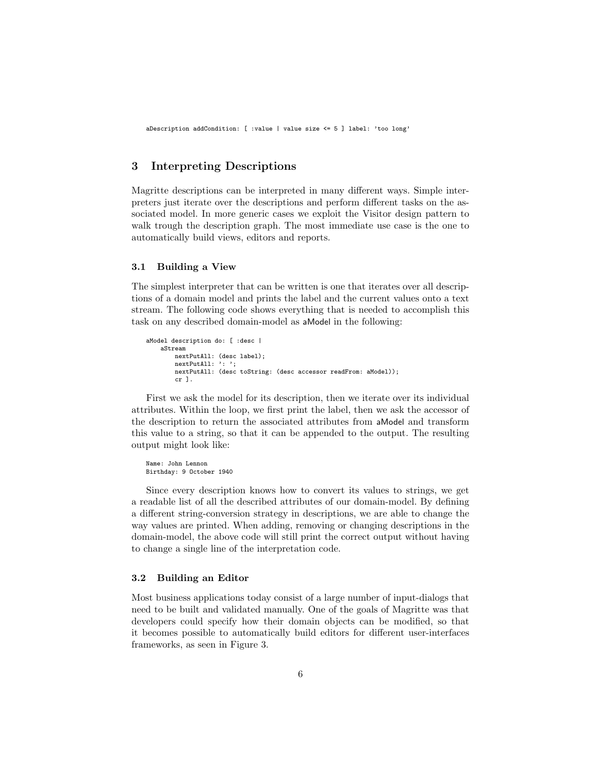aDescription addCondition: [ :value | value size <= 5 ] label: 'too long'

## 3 Interpreting Descriptions

Magritte descriptions can be interpreted in many different ways. Simple interpreters just iterate over the descriptions and perform different tasks on the associated model. In more generic cases we exploit the Visitor design pattern to walk trough the description graph. The most immediate use case is the one to automatically build views, editors and reports.

#### 3.1 Building a View

The simplest interpreter that can be written is one that iterates over all descriptions of a domain model and prints the label and the current values onto a text stream. The following code shows everything that is needed to accomplish this task on any described domain-model as aModel in the following:

```
aModel description do: [ :desc |
 aStream
    nextPutAll: (desc label);
     nextPutAll: ': ':
     nextPutAll: (desc toString: (desc accessor readFrom: aModel));
     cr ].
```
First we ask the model for its description, then we iterate over its individual attributes. Within the loop, we first print the label, then we ask the accessor of the description to return the associated attributes from aModel and transform this value to a string, so that it can be appended to the output. The resulting output might look like:

Name: John Lennon Birthday: 9 October 1940

Since every description knows how to convert its values to strings, we get a readable list of all the described attributes of our domain-model. By defining a different string-conversion strategy in descriptions, we are able to change the way values are printed. When adding, removing or changing descriptions in the domain-model, the above code will still print the correct output without having to change a single line of the interpretation code.

#### 3.2 Building an Editor

Most business applications today consist of a large number of input-dialogs that need to be built and validated manually. One of the goals of Magritte was that developers could specify how their domain objects can be modified, so that it becomes possible to automatically build editors for different user-interfaces frameworks, as seen in Figure 3.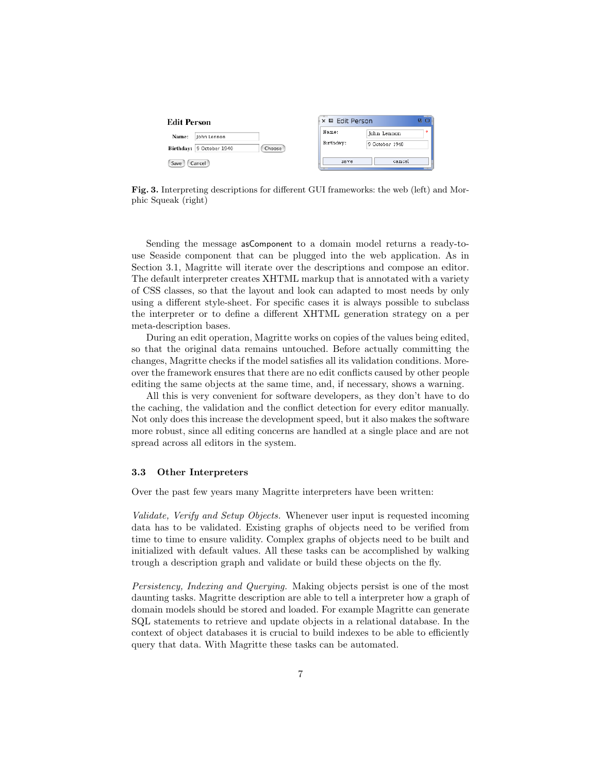| <b>Edit Person</b>                 |           | $\times$ E Edit Person |  |
|------------------------------------|-----------|------------------------|--|
| Name:<br>John Lennon               | Name:     | John Lennon            |  |
| Choose<br>Birthday: 9 October 1940 | Birthday: | 9 October 1940         |  |
| Save<br>Cancel                     | save      | cancel                 |  |

Fig. 3. Interpreting descriptions for different GUI frameworks: the web (left) and Morphic Squeak (right)

Sending the message asComponent to a domain model returns a ready-touse Seaside component that can be plugged into the web application. As in Section 3.1, Magritte will iterate over the descriptions and compose an editor. The default interpreter creates XHTML markup that is annotated with a variety of CSS classes, so that the layout and look can adapted to most needs by only using a different style-sheet. For specific cases it is always possible to subclass the interpreter or to define a different XHTML generation strategy on a per meta-description bases.

During an edit operation, Magritte works on copies of the values being edited, so that the original data remains untouched. Before actually committing the changes, Magritte checks if the model satisfies all its validation conditions. Moreover the framework ensures that there are no edit conflicts caused by other people editing the same objects at the same time, and, if necessary, shows a warning.

All this is very convenient for software developers, as they don't have to do the caching, the validation and the conflict detection for every editor manually. Not only does this increase the development speed, but it also makes the software more robust, since all editing concerns are handled at a single place and are not spread across all editors in the system.

#### 3.3 Other Interpreters

Over the past few years many Magritte interpreters have been written:

Validate, Verify and Setup Objects. Whenever user input is requested incoming data has to be validated. Existing graphs of objects need to be verified from time to time to ensure validity. Complex graphs of objects need to be built and initialized with default values. All these tasks can be accomplished by walking trough a description graph and validate or build these objects on the fly.

Persistency, Indexing and Querying. Making objects persist is one of the most daunting tasks. Magritte description are able to tell a interpreter how a graph of domain models should be stored and loaded. For example Magritte can generate SQL statements to retrieve and update objects in a relational database. In the context of object databases it is crucial to build indexes to be able to efficiently query that data. With Magritte these tasks can be automated.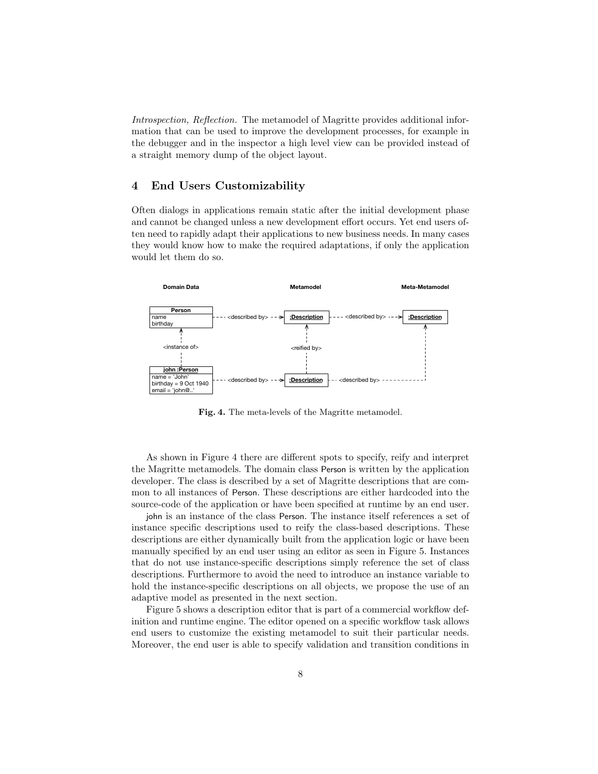Introspection, Reflection. The metamodel of Magritte provides additional information that can be used to improve the development processes, for example in the debugger and in the inspector a high level view can be provided instead of a straight memory dump of the object layout.

## 4 End Users Customizability

Often dialogs in applications remain static after the initial development phase and cannot be changed unless a new development effort occurs. Yet end users often need to rapidly adapt their applications to new business needs. In many cases they would know how to make the required adaptations, if only the application would let them do so.



Fig. 4. The meta-levels of the Magritte metamodel.

As shown in Figure 4 there are different spots to specify, reify and interpret the Magritte metamodels. The domain class Person is written by the application developer. The class is described by a set of Magritte descriptions that are common to all instances of Person. These descriptions are either hardcoded into the source-code of the application or have been specified at runtime by an end user.

john is an instance of the class Person. The instance itself references a set of instance specific descriptions used to reify the class-based descriptions. These descriptions are either dynamically built from the application logic or have been manually specified by an end user using an editor as seen in Figure 5. Instances that do not use instance-specific descriptions simply reference the set of class descriptions. Furthermore to avoid the need to introduce an instance variable to hold the instance-specific descriptions on all objects, we propose the use of an adaptive model as presented in the next section.

Figure 5 shows a description editor that is part of a commercial workflow definition and runtime engine. The editor opened on a specific workflow task allows end users to customize the existing metamodel to suit their particular needs. Moreover, the end user is able to specify validation and transition conditions in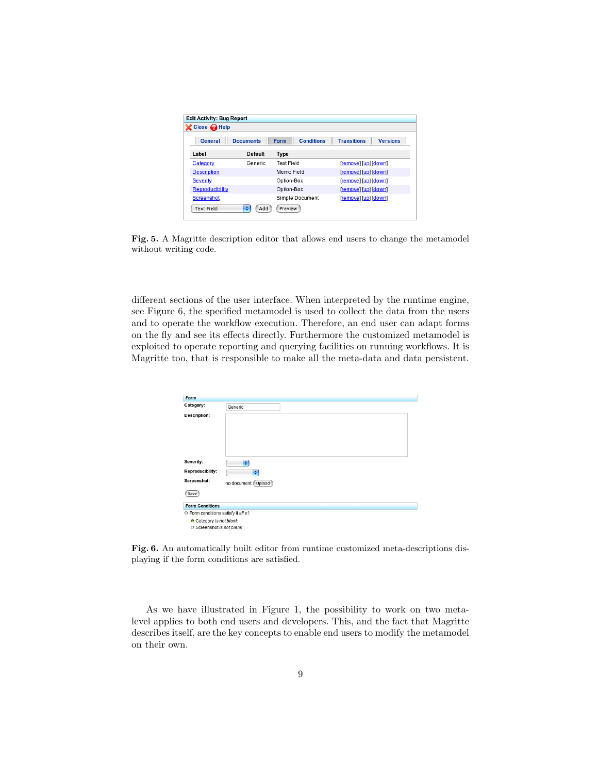| <b>Edit Activity: Bug Report</b> |                  |                                  |                                       |
|----------------------------------|------------------|----------------------------------|---------------------------------------|
| Close Melp                       |                  |                                  |                                       |
| General                          | <b>Documents</b> | <b>Form</b><br><b>Conditions</b> | <b>Transitions</b><br><b>Versions</b> |
| Label                            | Default          | Type                             |                                       |
| Category                         | Generic          | <b>Text Field</b>                | [remove] [up] [down]                  |
| <b>Description</b>               |                  | Memo Field                       | [remove] [up] [down]                  |
| Severity                         |                  | Option-Box                       | [remove] [up] [down]                  |
| <b>Reproducibility</b>           |                  | Option-Box                       | remove] [up] [down]                   |
| <b>Screenshot</b>                |                  | Simple Document                  | remove] [up] [down]                   |
| <b>Text Field</b>                | ÷<br>Add         | Preview                          |                                       |

Fig. 5. A Magritte description editor that allows end users to change the metamodel without writing code.

different sections of the user interface. When interpreted by the runtime engine, see Figure 6, the specified metamodel is used to collect the data from the users and to operate the workflow execution. Therefore, an end user can adapt forms on the fly and see its effects directly. Furthermore the customized metamodel is exploited to operate reporting and querying facilities on running workflows. It is Magritte too, that is responsible to make all the meta-data and data persistent.

| <b>Form</b>                                     |                      |  |  |  |
|-------------------------------------------------|----------------------|--|--|--|
| Category:                                       | Generic              |  |  |  |
| <b>Description:</b>                             |                      |  |  |  |
| Severity:                                       | ÷                    |  |  |  |
| Reproducibility:                                | ٠                    |  |  |  |
| Screenshot:                                     | no document [Upload] |  |  |  |
| Save                                            |                      |  |  |  |
| <b>Form Conditions</b>                          |                      |  |  |  |
| <sup>O</sup> Form conditions satisfy if all of: |                      |  |  |  |
| <b>e</b> Category is not blank                  |                      |  |  |  |
| $\Theta$ Screenshot is not blank                |                      |  |  |  |

Fig. 6. An automatically built editor from runtime customized meta-descriptions displaying if the form conditions are satisfied.

As we have illustrated in Figure 1, the possibility to work on two metalevel applies to both end users and developers. This, and the fact that Magritte describes itself, are the key concepts to enable end users to modify the metamodel on their own.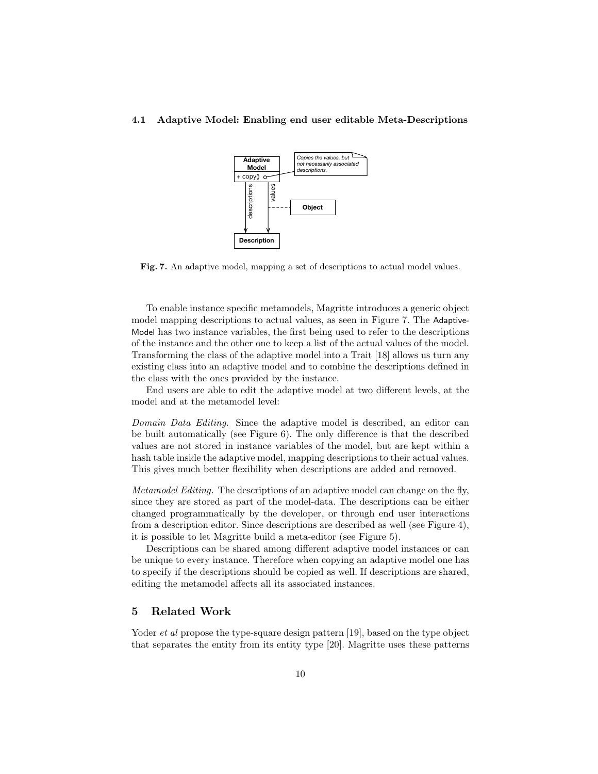#### 4.1 Adaptive Model: Enabling end user editable Meta-Descriptions



Fig. 7. An adaptive model, mapping a set of descriptions to actual model values.

To enable instance specific metamodels, Magritte introduces a generic object model mapping descriptions to actual values, as seen in Figure 7. The Adaptive-Model has two instance variables, the first being used to refer to the descriptions of the instance and the other one to keep a list of the actual values of the model. Transforming the class of the adaptive model into a Trait [18] allows us turn any existing class into an adaptive model and to combine the descriptions defined in the class with the ones provided by the instance.

End users are able to edit the adaptive model at two different levels, at the model and at the metamodel level:

Domain Data Editing. Since the adaptive model is described, an editor can be built automatically (see Figure 6). The only difference is that the described values are not stored in instance variables of the model, but are kept within a hash table inside the adaptive model, mapping descriptions to their actual values. This gives much better flexibility when descriptions are added and removed.

Metamodel Editing. The descriptions of an adaptive model can change on the fly, since they are stored as part of the model-data. The descriptions can be either changed programmatically by the developer, or through end user interactions from a description editor. Since descriptions are described as well (see Figure 4), it is possible to let Magritte build a meta-editor (see Figure 5).

Descriptions can be shared among different adaptive model instances or can be unique to every instance. Therefore when copying an adaptive model one has to specify if the descriptions should be copied as well. If descriptions are shared, editing the metamodel affects all its associated instances.

## 5 Related Work

Yoder *et al* propose the type-square design pattern [19], based on the type object that separates the entity from its entity type [20]. Magritte uses these patterns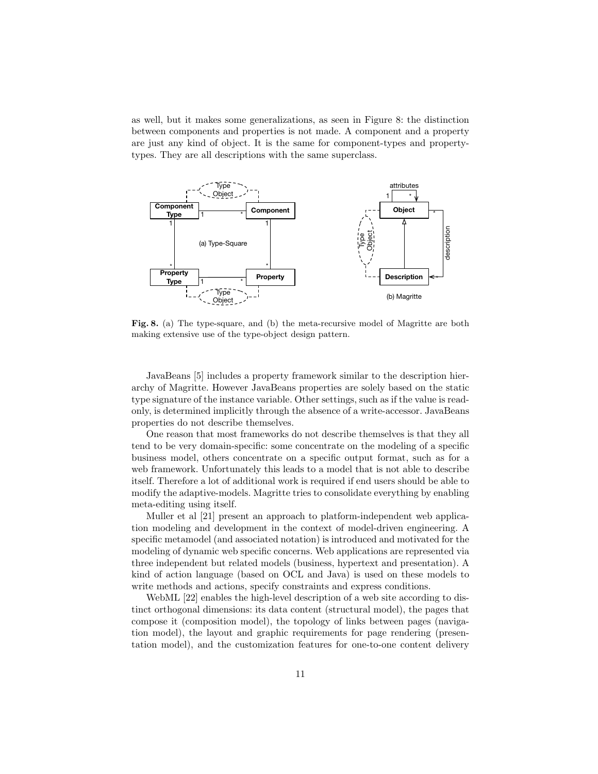as well, but it makes some generalizations, as seen in Figure 8: the distinction between components and properties is not made. A component and a property are just any kind of object. It is the same for component-types and propertytypes. They are all descriptions with the same superclass.



Fig. 8. (a) The type-square, and (b) the meta-recursive model of Magritte are both making extensive use of the type-object design pattern.

JavaBeans [5] includes a property framework similar to the description hierarchy of Magritte. However JavaBeans properties are solely based on the static type signature of the instance variable. Other settings, such as if the value is readonly, is determined implicitly through the absence of a write-accessor. JavaBeans properties do not describe themselves.

One reason that most frameworks do not describe themselves is that they all tend to be very domain-specific: some concentrate on the modeling of a specific business model, others concentrate on a specific output format, such as for a web framework. Unfortunately this leads to a model that is not able to describe itself. Therefore a lot of additional work is required if end users should be able to modify the adaptive-models. Magritte tries to consolidate everything by enabling meta-editing using itself.

Muller et al [21] present an approach to platform-independent web application modeling and development in the context of model-driven engineering. A specific metamodel (and associated notation) is introduced and motivated for the modeling of dynamic web specific concerns. Web applications are represented via three independent but related models (business, hypertext and presentation). A kind of action language (based on OCL and Java) is used on these models to write methods and actions, specify constraints and express conditions.

WebML [22] enables the high-level description of a web site according to distinct orthogonal dimensions: its data content (structural model), the pages that compose it (composition model), the topology of links between pages (navigation model), the layout and graphic requirements for page rendering (presentation model), and the customization features for one-to-one content delivery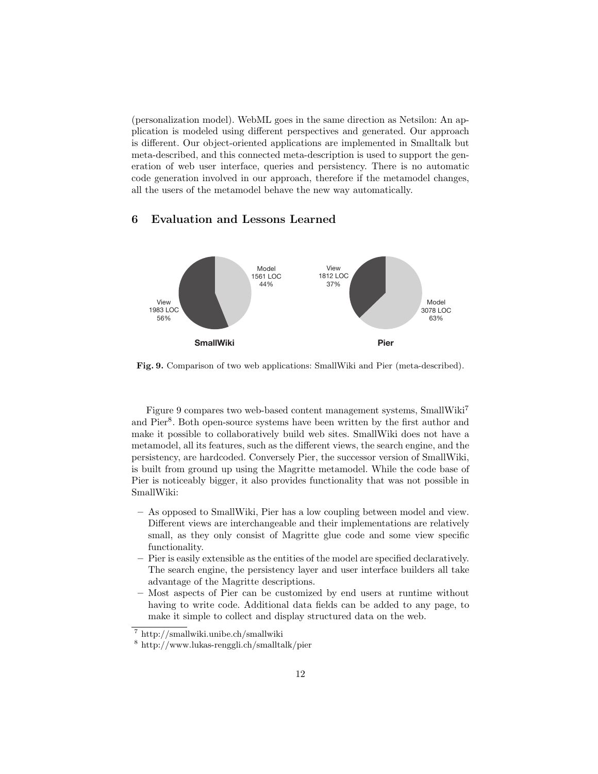(personalization model). WebML goes in the same direction as Netsilon: An application is modeled using different perspectives and generated. Our approach is different. Our object-oriented applications are implemented in Smalltalk but meta-described, and this connected meta-description is used to support the generation of web user interface, queries and persistency. There is no automatic code generation involved in our approach, therefore if the metamodel changes, all the users of the metamodel behave the new way automatically.

## 6 Evaluation and Lessons Learned



Fig. 9. Comparison of two web applications: SmallWiki and Pier (meta-described).

Figure 9 compares two web-based content management systems, SmallWiki<sup>7</sup> and Pier<sup>8</sup>. Both open-source systems have been written by the first author and make it possible to collaboratively build web sites. SmallWiki does not have a metamodel, all its features, such as the different views, the search engine, and the persistency, are hardcoded. Conversely Pier, the successor version of SmallWiki, is built from ground up using the Magritte metamodel. While the code base of Pier is noticeably bigger, it also provides functionality that was not possible in SmallWiki:

- As opposed to SmallWiki, Pier has a low coupling between model and view. Different views are interchangeable and their implementations are relatively small, as they only consist of Magritte glue code and some view specific functionality.
- Pier is easily extensible as the entities of the model are specified declaratively. The search engine, the persistency layer and user interface builders all take advantage of the Magritte descriptions.
- Most aspects of Pier can be customized by end users at runtime without having to write code. Additional data fields can be added to any page, to make it simple to collect and display structured data on the web.

<sup>7</sup> http://smallwiki.unibe.ch/smallwiki

<sup>8</sup> http://www.lukas-renggli.ch/smalltalk/pier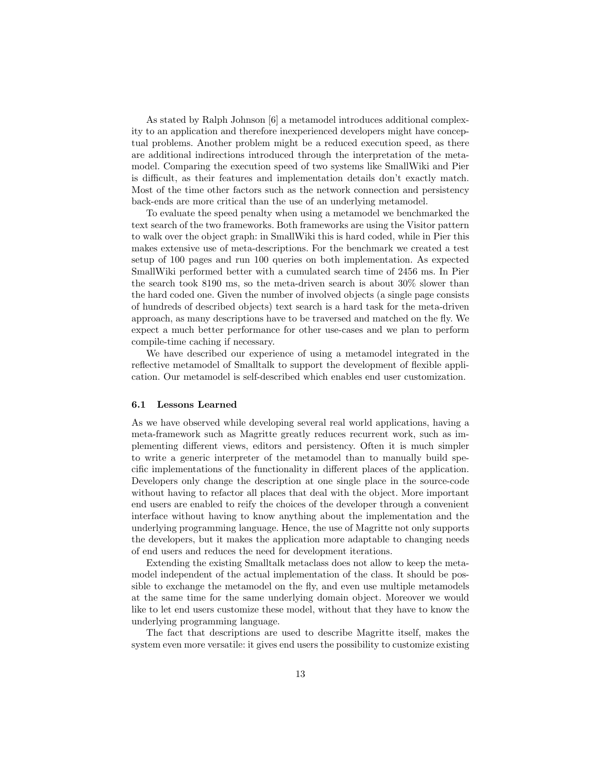As stated by Ralph Johnson [6] a metamodel introduces additional complexity to an application and therefore inexperienced developers might have conceptual problems. Another problem might be a reduced execution speed, as there are additional indirections introduced through the interpretation of the metamodel. Comparing the execution speed of two systems like SmallWiki and Pier is difficult, as their features and implementation details don't exactly match. Most of the time other factors such as the network connection and persistency back-ends are more critical than the use of an underlying metamodel.

To evaluate the speed penalty when using a metamodel we benchmarked the text search of the two frameworks. Both frameworks are using the Visitor pattern to walk over the object graph: in SmallWiki this is hard coded, while in Pier this makes extensive use of meta-descriptions. For the benchmark we created a test setup of 100 pages and run 100 queries on both implementation. As expected SmallWiki performed better with a cumulated search time of 2456 ms. In Pier the search took 8190 ms, so the meta-driven search is about 30% slower than the hard coded one. Given the number of involved objects (a single page consists of hundreds of described objects) text search is a hard task for the meta-driven approach, as many descriptions have to be traversed and matched on the fly. We expect a much better performance for other use-cases and we plan to perform compile-time caching if necessary.

We have described our experience of using a metamodel integrated in the reflective metamodel of Smalltalk to support the development of flexible application. Our metamodel is self-described which enables end user customization.

#### 6.1 Lessons Learned

As we have observed while developing several real world applications, having a meta-framework such as Magritte greatly reduces recurrent work, such as implementing different views, editors and persistency. Often it is much simpler to write a generic interpreter of the metamodel than to manually build specific implementations of the functionality in different places of the application. Developers only change the description at one single place in the source-code without having to refactor all places that deal with the object. More important end users are enabled to reify the choices of the developer through a convenient interface without having to know anything about the implementation and the underlying programming language. Hence, the use of Magritte not only supports the developers, but it makes the application more adaptable to changing needs of end users and reduces the need for development iterations.

Extending the existing Smalltalk metaclass does not allow to keep the metamodel independent of the actual implementation of the class. It should be possible to exchange the metamodel on the fly, and even use multiple metamodels at the same time for the same underlying domain object. Moreover we would like to let end users customize these model, without that they have to know the underlying programming language.

The fact that descriptions are used to describe Magritte itself, makes the system even more versatile: it gives end users the possibility to customize existing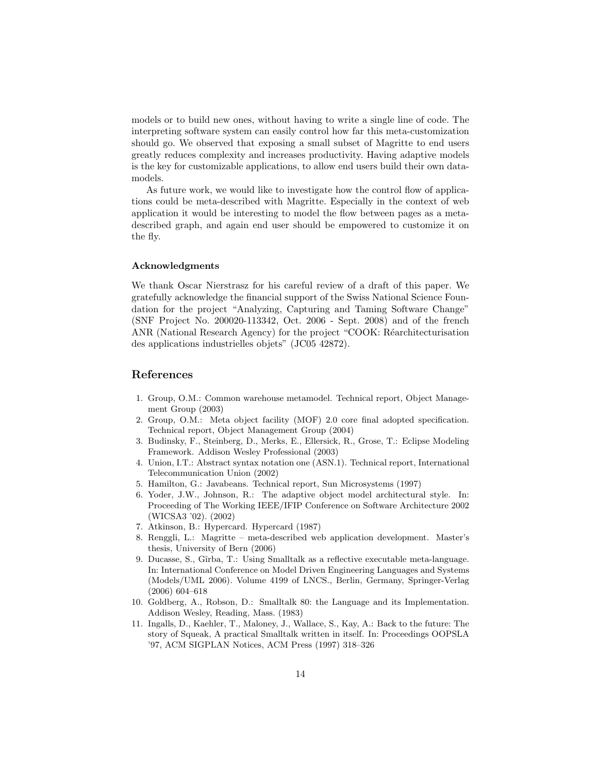models or to build new ones, without having to write a single line of code. The interpreting software system can easily control how far this meta-customization should go. We observed that exposing a small subset of Magritte to end users greatly reduces complexity and increases productivity. Having adaptive models is the key for customizable applications, to allow end users build their own datamodels.

As future work, we would like to investigate how the control flow of applications could be meta-described with Magritte. Especially in the context of web application it would be interesting to model the flow between pages as a metadescribed graph, and again end user should be empowered to customize it on the fly.

#### Acknowledgments

We thank Oscar Nierstrasz for his careful review of a draft of this paper. We gratefully acknowledge the financial support of the Swiss National Science Foundation for the project "Analyzing, Capturing and Taming Software Change" (SNF Project No. 200020-113342, Oct. 2006 - Sept. 2008) and of the french ANR (National Research Agency) for the project "COOK: Réarchitecturisation des applications industrielles objets" (JC05 42872).

## References

- 1. Group, O.M.: Common warehouse metamodel. Technical report, Object Management Group (2003)
- 2. Group, O.M.: Meta object facility (MOF) 2.0 core final adopted specification. Technical report, Object Management Group (2004)
- 3. Budinsky, F., Steinberg, D., Merks, E., Ellersick, R., Grose, T.: Eclipse Modeling Framework. Addison Wesley Professional (2003)
- 4. Union, I.T.: Abstract syntax notation one (ASN.1). Technical report, International Telecommunication Union (2002)
- 5. Hamilton, G.: Javabeans. Technical report, Sun Microsystems (1997)
- 6. Yoder, J.W., Johnson, R.: The adaptive object model architectural style. In: Proceeding of The Working IEEE/IFIP Conference on Software Architecture 2002 (WICSA3 '02). (2002)
- 7. Atkinson, B.: Hypercard. Hypercard (1987)
- 8. Renggli, L.: Magritte meta-described web application development. Master's thesis, University of Bern (2006)
- 9. Ducasse, S., Gˆırba, T.: Using Smalltalk as a reflective executable meta-language. In: International Conference on Model Driven Engineering Languages and Systems (Models/UML 2006). Volume 4199 of LNCS., Berlin, Germany, Springer-Verlag (2006) 604–618
- 10. Goldberg, A., Robson, D.: Smalltalk 80: the Language and its Implementation. Addison Wesley, Reading, Mass. (1983)
- 11. Ingalls, D., Kaehler, T., Maloney, J., Wallace, S., Kay, A.: Back to the future: The story of Squeak, A practical Smalltalk written in itself. In: Proceedings OOPSLA '97, ACM SIGPLAN Notices, ACM Press (1997) 318–326